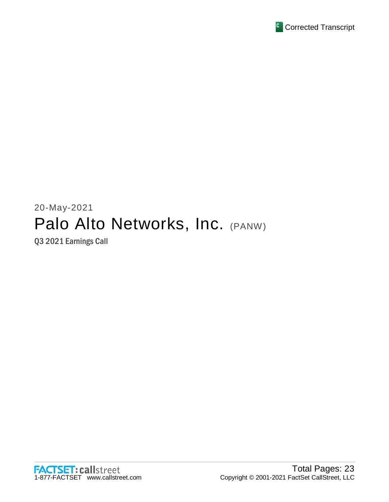

# 20-May-2021 Palo Alto Networks, Inc. (PANW)

Q3 2021 Earnings Call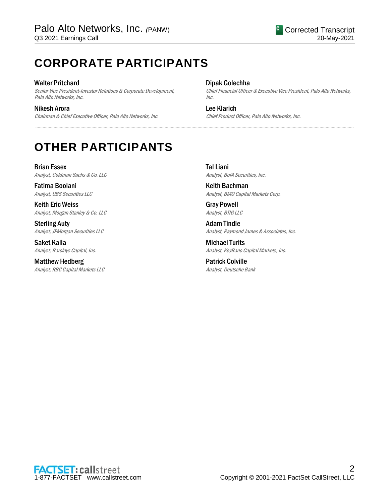## **CORPORATE PARTICIPANTS**

#### Walter Pritchard

Senior Vice President-Investor Relations & Corporate Development, Palo Alto Networks, Inc.

Nikesh Arora Chairman & Chief Executive Officer, Palo Alto Networks, Inc.

#### Dipak Golechha

.....................................................................................................................................................................................................................................................................

Chief Financial Officer & Executive Vice President, Palo Alto Networks, Inc.

Lee Klarich Chief Product Officer, Palo Alto Networks, Inc.

## **OTHER PARTICIPANTS**

Brian Essex Analyst, Goldman Sachs & Co. LLC

Fatima Boolani Analyst, UBS Securities LLC

Keith Eric Weiss Analyst, Morgan Stanley & Co. LLC

Sterling Auty Analyst, JPMorgan Securities LLC

Saket Kalia Analyst, Barclays Capital, Inc.

Matthew Hedberg Analyst, RBC Capital Markets LLC Tal Liani Analyst, BofA Securities, Inc.

Keith Bachman Analyst, BMO Capital Markets Corp.

Gray Powell Analyst, BTIG LLC

Adam Tindle Analyst, Raymond James & Associates, Inc.

Michael Turits Analyst, KeyBanc Capital Markets, Inc.

Patrick Colville Analyst, Deutsche Bank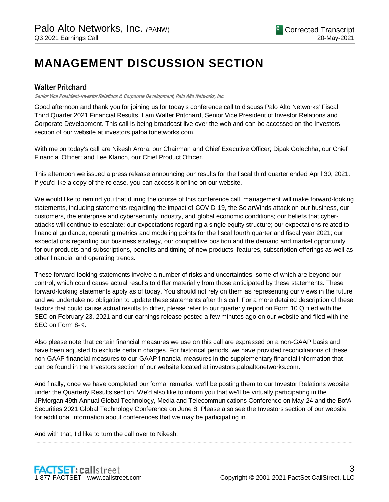## **MANAGEMENT DISCUSSION SECTION**

## Walter Pritchard

Senior Vice President-Investor Relations & Corporate Development, Palo Alto Networks, Inc.

Good afternoon and thank you for joining us for today's conference call to discuss Palo Alto Networks' Fiscal Third Quarter 2021 Financial Results. I am Walter Pritchard, Senior Vice President of Investor Relations and Corporate Development. This call is being broadcast live over the web and can be accessed on the Investors section of our website at investors.paloaltonetworks.com.

With me on today's call are Nikesh Arora, our Chairman and Chief Executive Officer; Dipak Golechha, our Chief Financial Officer; and Lee Klarich, our Chief Product Officer.

This afternoon we issued a press release announcing our results for the fiscal third quarter ended April 30, 2021. If you'd like a copy of the release, you can access it online on our website.

We would like to remind you that during the course of this conference call, management will make forward-looking statements, including statements regarding the impact of COVID-19, the SolarWinds attack on our business, our customers, the enterprise and cybersecurity industry, and global economic conditions; our beliefs that cyberattacks will continue to escalate; our expectations regarding a single equity structure; our expectations related to financial guidance, operating metrics and modeling points for the fiscal fourth quarter and fiscal year 2021; our expectations regarding our business strategy, our competitive position and the demand and market opportunity for our products and subscriptions, benefits and timing of new products, features, subscription offerings as well as other financial and operating trends.

These forward-looking statements involve a number of risks and uncertainties, some of which are beyond our control, which could cause actual results to differ materially from those anticipated by these statements. These forward-looking statements apply as of today. You should not rely on them as representing our views in the future and we undertake no obligation to update these statements after this call. For a more detailed description of these factors that could cause actual results to differ, please refer to our quarterly report on Form 10 Q filed with the SEC on February 23, 2021 and our earnings release posted a few minutes ago on our website and filed with the SEC on Form 8-K.

Also please note that certain financial measures we use on this call are expressed on a non-GAAP basis and have been adjusted to exclude certain charges. For historical periods, we have provided reconciliations of these non-GAAP financial measures to our GAAP financial measures in the supplementary financial information that can be found in the Investors section of our website located at investors.paloaltonetworks.com.

And finally, once we have completed our formal remarks, we'll be posting them to our Investor Relations website under the Quarterly Results section. We'd also like to inform you that we'll be virtually participating in the JPMorgan 49th Annual Global Technology, Media and Telecommunications Conference on May 24 and the BofA Securities 2021 Global Technology Conference on June 8. Please also see the Investors section of our website for additional information about conferences that we may be participating in.

.....................................................................................................................................................................................................................................................................

And with that, I'd like to turn the call over to Nikesh.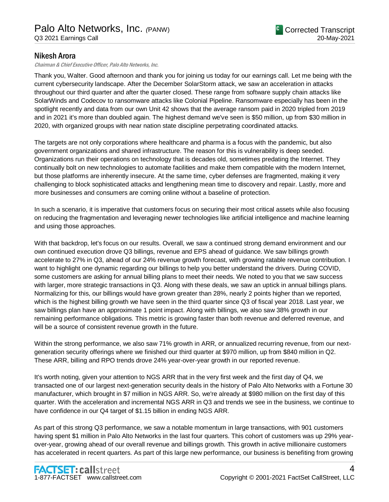## Nikesh Arora

Chairman & Chief Executive Officer, Palo Alto Networks, Inc.

Thank you, Walter. Good afternoon and thank you for joining us today for our earnings call. Let me being with the current cybersecurity landscape. After the December SolarStorm attack, we saw an acceleration in attacks throughout our third quarter and after the quarter closed. These range from software supply chain attacks like SolarWinds and Codecov to ransomware attacks like Colonial Pipeline. Ransomware especially has been in the spotlight recently and data from our own Unit 42 shows that the average ransom paid in 2020 tripled from 2019 and in 2021 it's more than doubled again. The highest demand we've seen is \$50 million, up from \$30 million in 2020, with organized groups with near nation state discipline perpetrating coordinated attacks.

The targets are not only corporations where healthcare and pharma is a focus with the pandemic, but also government organizations and shared infrastructure. The reason for this is vulnerability is deep seeded. Organizations run their operations on technology that is decades old, sometimes predating the Internet. They continually bolt on new technologies to automate facilities and make them compatible with the modern Internet, but those platforms are inherently insecure. At the same time, cyber defenses are fragmented, making it very challenging to block sophisticated attacks and lengthening mean time to discovery and repair. Lastly, more and more businesses and consumers are coming online without a baseline of protection.

In such a scenario, it is imperative that customers focus on securing their most critical assets while also focusing on reducing the fragmentation and leveraging newer technologies like artificial intelligence and machine learning and using those approaches.

With that backdrop, let's focus on our results. Overall, we saw a continued strong demand environment and our own continued execution drove Q3 billings, revenue and EPS ahead of guidance. We saw billings growth accelerate to 27% in Q3, ahead of our 24% revenue growth forecast, with growing ratable revenue contribution. I want to highlight one dynamic regarding our billings to help you better understand the drivers. During COVID, some customers are asking for annual billing plans to meet their needs. We noted to you that we saw success with larger, more strategic transactions in Q3. Along with these deals, we saw an uptick in annual billings plans. Normalizing for this, our billings would have grown greater than 28%, nearly 2 points higher than we reported, which is the highest billing growth we have seen in the third quarter since Q3 of fiscal year 2018. Last year, we saw billings plan have an approximate 1 point impact. Along with billings, we also saw 38% growth in our remaining performance obligations. This metric is growing faster than both revenue and deferred revenue, and will be a source of consistent revenue growth in the future.

Within the strong performance, we also saw 71% growth in ARR, or annualized recurring revenue, from our nextgeneration security offerings where we finished our third quarter at \$970 million, up from \$840 million in Q2. These ARR, billing and RPO trends drove 24% year-over-year growth in our reported revenue.

It's worth noting, given your attention to NGS ARR that in the very first week and the first day of Q4, we transacted one of our largest next-generation security deals in the history of Palo Alto Networks with a Fortune 30 manufacturer, which brought in \$7 million in NGS ARR. So, we're already at \$980 million on the first day of this quarter. With the acceleration and incremental NGS ARR in Q3 and trends we see in the business, we continue to have confidence in our Q4 target of \$1.15 billion in ending NGS ARR.

As part of this strong Q3 performance, we saw a notable momentum in large transactions, with 901 customers having spent \$1 million in Palo Alto Networks in the last four quarters. This cohort of customers was up 29% yearover-year, growing ahead of our overall revenue and billings growth. This growth in active millionaire customers has accelerated in recent quarters. As part of this large new performance, our business is benefiting from growing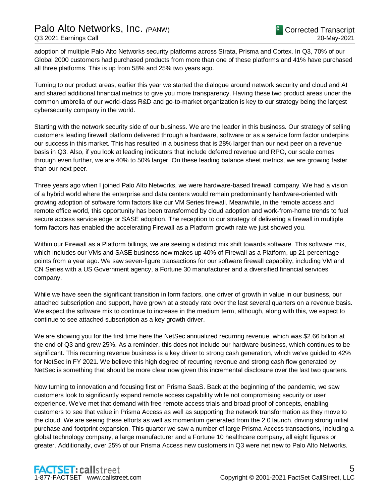adoption of multiple Palo Alto Networks security platforms across Strata, Prisma and Cortex. In Q3, 70% of our Global 2000 customers had purchased products from more than one of these platforms and 41% have purchased all three platforms. This is up from 58% and 25% two years ago.

Turning to our product areas, earlier this year we started the dialogue around network security and cloud and AI and shared additional financial metrics to give you more transparency. Having these two product areas under the common umbrella of our world-class R&D and go-to-market organization is key to our strategy being the largest cybersecurity company in the world.

Starting with the network security side of our business. We are the leader in this business. Our strategy of selling customers leading firewall platform delivered through a hardware, software or as a service form factor underpins our success in this market. This has resulted in a business that is 28% larger than our next peer on a revenue basis in Q3. Also, if you look at leading indicators that include deferred revenue and RPO, our scale comes through even further, we are 40% to 50% larger. On these leading balance sheet metrics, we are growing faster than our next peer.

Three years ago when I joined Palo Alto Networks, we were hardware-based firewall company. We had a vision of a hybrid world where the enterprise and data centers would remain predominantly hardware-oriented with growing adoption of software form factors like our VM Series firewall. Meanwhile, in the remote access and remote office world, this opportunity has been transformed by cloud adoption and work-from-home trends to fuel secure access service edge or SASE adoption. The reception to our strategy of delivering a firewall in multiple form factors has enabled the accelerating Firewall as a Platform growth rate we just showed you.

Within our Firewall as a Platform billings, we are seeing a distinct mix shift towards software. This software mix, which includes our VMs and SASE business now makes up 40% of Firewall as a Platform, up 21 percentage points from a year ago. We saw seven-figure transactions for our software firewall capability, including VM and CN Series with a US Government agency, a Fortune 30 manufacturer and a diversified financial services company.

While we have seen the significant transition in form factors, one driver of growth in value in our business, our attached subscription and support, have grown at a steady rate over the last several quarters on a revenue basis. We expect the software mix to continue to increase in the medium term, although, along with this, we expect to continue to see attached subscription as a key growth driver.

We are showing you for the first time here the NetSec annualized recurring revenue, which was \$2.66 billion at the end of Q3 and grew 25%. As a reminder, this does not include our hardware business, which continues to be significant. This recurring revenue business is a key driver to strong cash generation, which we've guided to 42% for NetSec in FY 2021. We believe this high degree of recurring revenue and strong cash flow generated by NetSec is something that should be more clear now given this incremental disclosure over the last two quarters.

Now turning to innovation and focusing first on Prisma SaaS. Back at the beginning of the pandemic, we saw customers look to significantly expand remote access capability while not compromising security or user experience. We've met that demand with free remote access trials and broad proof of concepts, enabling customers to see that value in Prisma Access as well as supporting the network transformation as they move to the cloud. We are seeing these efforts as well as momentum generated from the 2.0 launch, driving strong initial purchase and footprint expansion. This quarter we saw a number of large Prisma Access transactions, including a global technology company, a large manufacturer and a Fortune 10 healthcare company, all eight figures or greater. Additionally, over 25% of our Prisma Access new customers in Q3 were net new to Palo Alto Networks.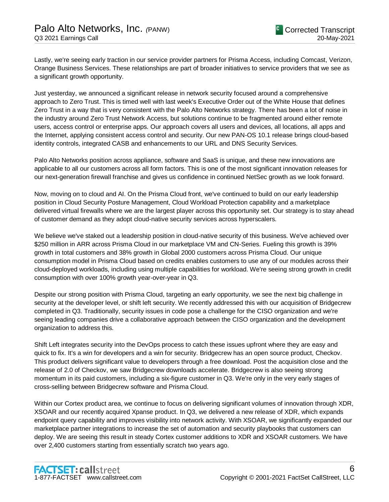Lastly, we're seeing early traction in our service provider partners for Prisma Access, including Comcast, Verizon, Orange Business Services. These relationships are part of broader initiatives to service providers that we see as a significant growth opportunity.

Just yesterday, we announced a significant release in network security focused around a comprehensive approach to Zero Trust. This is timed well with last week's Executive Order out of the White House that defines Zero Trust in a way that is very consistent with the Palo Alto Networks strategy. There has been a lot of noise in the industry around Zero Trust Network Access, but solutions continue to be fragmented around either remote users, access control or enterprise apps. Our approach covers all users and devices, all locations, all apps and the Internet, applying consistent access control and security. Our new PAN-OS 10.1 release brings cloud-based identity controls, integrated CASB and enhancements to our URL and DNS Security Services.

Palo Alto Networks position across appliance, software and SaaS is unique, and these new innovations are applicable to all our customers across all form factors. This is one of the most significant innovation releases for our next-generation firewall franchise and gives us confidence in continued NetSec growth as we look forward.

Now, moving on to cloud and AI. On the Prisma Cloud front, we've continued to build on our early leadership position in Cloud Security Posture Management, Cloud Workload Protection capability and a marketplace delivered virtual firewalls where we are the largest player across this opportunity set. Our strategy is to stay ahead of customer demand as they adopt cloud-native security services across hyperscalers.

We believe we've staked out a leadership position in cloud-native security of this business. We've achieved over \$250 million in ARR across Prisma Cloud in our marketplace VM and CN-Series. Fueling this growth is 39% growth in total customers and 38% growth in Global 2000 customers across Prisma Cloud. Our unique consumption model in Prisma Cloud based on credits enables customers to use any of our modules across their cloud-deployed workloads, including using multiple capabilities for workload. We're seeing strong growth in credit consumption with over 100% growth year-over-year in Q3.

Despite our strong position with Prisma Cloud, targeting an early opportunity, we see the next big challenge in security at the developer level, or shift left security. We recently addressed this with our acquisition of Bridgecrew completed in Q3. Traditionally, security issues in code pose a challenge for the CISO organization and we're seeing leading companies drive a collaborative approach between the CISO organization and the development organization to address this.

Shift Left integrates security into the DevOps process to catch these issues upfront where they are easy and quick to fix. It's a win for developers and a win for security. Bridgecrew has an open source product, Checkov. This product delivers significant value to developers through a free download. Post the acquisition close and the release of 2.0 of Checkov, we saw Bridgecrew downloads accelerate. Bridgecrew is also seeing strong momentum in its paid customers, including a six-figure customer in Q3. We're only in the very early stages of cross-selling between Bridgecrew software and Prisma Cloud.

Within our Cortex product area, we continue to focus on delivering significant volumes of innovation through XDR, XSOAR and our recently acquired Xpanse product. In Q3, we delivered a new release of XDR, which expands endpoint query capability and improves visibility into network activity. With XSOAR, we significantly expanded our marketplace partner integrations to increase the set of automation and security playbooks that customers can deploy. We are seeing this result in steady Cortex customer additions to XDR and XSOAR customers. We have over 2,400 customers starting from essentially scratch two years ago.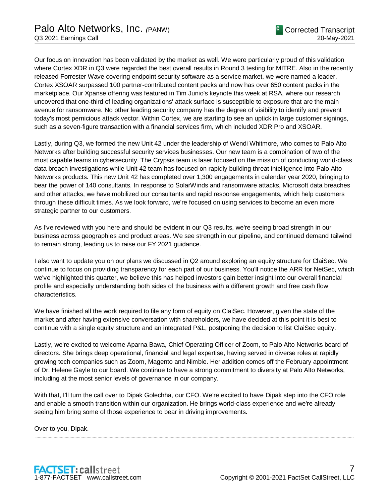Our focus on innovation has been validated by the market as well. We were particularly proud of this validation where Cortex XDR in Q3 were regarded the best overall results in Round 3 testing for MITRE. Also in the recently released Forrester Wave covering endpoint security software as a service market, we were named a leader. Cortex XSOAR surpassed 100 partner-contributed content packs and now has over 650 content packs in the marketplace. Our Xpanse offering was featured in Tim Junio's keynote this week at RSA, where our research uncovered that one-third of leading organizations' attack surface is susceptible to exposure that are the main avenue for ransomware. No other leading security company has the degree of visibility to identify and prevent today's most pernicious attack vector. Within Cortex, we are starting to see an uptick in large customer signings, such as a seven-figure transaction with a financial services firm, which included XDR Pro and XSOAR.

Lastly, during Q3, we formed the new Unit 42 under the leadership of Wendi Whitmore, who comes to Palo Alto Networks after building successful security services businesses. Our new team is a combination of two of the most capable teams in cybersecurity. The Crypsis team is laser focused on the mission of conducting world-class data breach investigations while Unit 42 team has focused on rapidly building threat intelligence into Palo Alto Networks products. This new Unit 42 has completed over 1,300 engagements in calendar year 2020, bringing to bear the power of 140 consultants. In response to SolarWinds and ransomware attacks, Microsoft data breaches and other attacks, we have mobilized our consultants and rapid response engagements, which help customers through these difficult times. As we look forward, we're focused on using services to become an even more strategic partner to our customers.

As I've reviewed with you here and should be evident in our Q3 results, we're seeing broad strength in our business across geographies and product areas. We see strength in our pipeline, and continued demand tailwind to remain strong, leading us to raise our FY 2021 guidance.

I also want to update you on our plans we discussed in Q2 around exploring an equity structure for ClaiSec. We continue to focus on providing transparency for each part of our business. You'll notice the ARR for NetSec, which we've highlighted this quarter, we believe this has helped investors gain better insight into our overall financial profile and especially understanding both sides of the business with a different growth and free cash flow characteristics.

We have finished all the work required to file any form of equity on ClaiSec. However, given the state of the market and after having extensive conversation with shareholders, we have decided at this point it is best to continue with a single equity structure and an integrated P&L, postponing the decision to list ClaiSec equity.

Lastly, we're excited to welcome Aparna Bawa, Chief Operating Officer of Zoom, to Palo Alto Networks board of directors. She brings deep operational, financial and legal expertise, having served in diverse roles at rapidly growing tech companies such as Zoom, Magento and Nimble. Her addition comes off the February appointment of Dr. Helene Gayle to our board. We continue to have a strong commitment to diversity at Palo Alto Networks, including at the most senior levels of governance in our company.

With that, I'll turn the call over to Dipak Golechha, our CFO. We're excited to have Dipak step into the CFO role and enable a smooth transition within our organization. He brings world-class experience and we're already seeing him bring some of those experience to bear in driving improvements.

.....................................................................................................................................................................................................................................................................

Over to you, Dipak.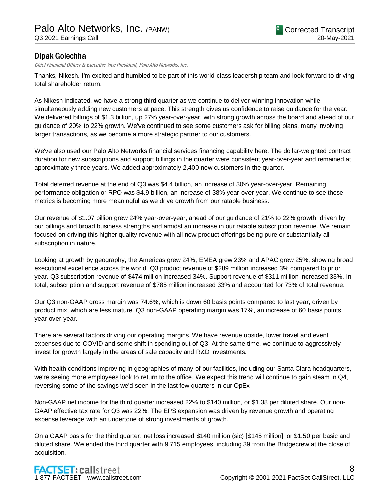## Dipak Golechha

Chief Financial Officer & Executive Vice President, Palo Alto Networks, Inc.

Thanks, Nikesh. I'm excited and humbled to be part of this world-class leadership team and look forward to driving total shareholder return.

As Nikesh indicated, we have a strong third quarter as we continue to deliver winning innovation while simultaneously adding new customers at pace. This strength gives us confidence to raise guidance for the year. We delivered billings of \$1.3 billion, up 27% year-over-year, with strong growth across the board and ahead of our guidance of 20% to 22% growth. We've continued to see some customers ask for billing plans, many involving larger transactions, as we become a more strategic partner to our customers.

We've also used our Palo Alto Networks financial services financing capability here. The dollar-weighted contract duration for new subscriptions and support billings in the quarter were consistent year-over-year and remained at approximately three years. We added approximately 2,400 new customers in the quarter.

Total deferred revenue at the end of Q3 was \$4.4 billion, an increase of 30% year-over-year. Remaining performance obligation or RPO was \$4.9 billion, an increase of 38% year-over-year. We continue to see these metrics is becoming more meaningful as we drive growth from our ratable business.

Our revenue of \$1.07 billion grew 24% year-over-year, ahead of our guidance of 21% to 22% growth, driven by our billings and broad business strengths and amidst an increase in our ratable subscription revenue. We remain focused on driving this higher quality revenue with all new product offerings being pure or substantially all subscription in nature.

Looking at growth by geography, the Americas grew 24%, EMEA grew 23% and APAC grew 25%, showing broad executional excellence across the world. Q3 product revenue of \$289 million increased 3% compared to prior year. Q3 subscription revenue of \$474 million increased 34%. Support revenue of \$311 million increased 33%. In total, subscription and support revenue of \$785 million increased 33% and accounted for 73% of total revenue.

Our Q3 non-GAAP gross margin was 74.6%, which is down 60 basis points compared to last year, driven by product mix, which are less mature. Q3 non-GAAP operating margin was 17%, an increase of 60 basis points year-over-year.

There are several factors driving our operating margins. We have revenue upside, lower travel and event expenses due to COVID and some shift in spending out of Q3. At the same time, we continue to aggressively invest for growth largely in the areas of sale capacity and R&D investments.

With health conditions improving in geographies of many of our facilities, including our Santa Clara headquarters, we're seeing more employees look to return to the office. We expect this trend will continue to gain steam in Q4, reversing some of the savings we'd seen in the last few quarters in our OpEx.

Non-GAAP net income for the third quarter increased 22% to \$140 million, or \$1.38 per diluted share. Our non-GAAP effective tax rate for Q3 was 22%. The EPS expansion was driven by revenue growth and operating expense leverage with an undertone of strong investments of growth.

On a GAAP basis for the third quarter, net loss increased \$140 million (sic) [\$145 million], or \$1.50 per basic and diluted share. We ended the third quarter with 9,715 employees, including 39 from the Bridgecrew at the close of acquisition.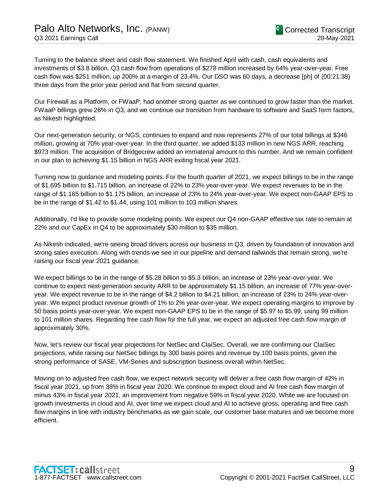Turning to the balance sheet and cash flow statement. We finished April with cash, cash equivalents and investments of \$3.8 billion. Q3 cash flow from operations of \$278 million increased by 64% year-over-year. Free cash flow was \$251 million, up 200% at a margin of 23.4%. Our DSO was 60 days, a decrease [ph] of (00:21:38) three days from the prior year period and flat from second quarter.

Our Firewall as a Platform, or FWaaP, had another strong quarter as we continued to grow faster than the market. FWaaP billings grew 26% in Q3, and we continue our transition from hardware to software and SaaS form factors, as Nikesh highlighted.

Our next-generation security, or NGS, continues to expand and now represents 27% of our total billings at \$346 million, growing at 70% year-over-year. In the third quarter, we added \$133 million in new NGS ARR, reaching \$973 million. The acquisition of Bridgecrew added an immaterial amount to this number. And we remain confident in our plan to achieving \$1.15 billion in NGS ARR exiting fiscal year 2021.

Turning now to guidance and modeling points. For the fourth quarter of 2021, we expect billings to be in the range of \$1.695 billion to \$1.715 billion, an increase of 22% to 23% year-over-year. We expect revenues to be in the range of \$1.165 billion to \$1.175 billion, an increase of 23% to 24% year-over-year. We expect non-GAAP EPS to be in the range of \$1.42 to \$1.44, using 101 million to 103 million shares.

Additionally, I'd like to provide some modeling points. We expect our Q4 non-GAAP effective tax rate to remain at 22% and our CapEx in Q4 to be approximately \$30 million to \$35 million.

As Nikesh indicated, we're seeing broad drivers across our business in Q3, driven by foundation of innovation and strong sales execution. Along with trends we see in our pipeline and demand tailwinds that remain strong, we're raising our fiscal year 2021 guidance.

We expect billings to be in the range of \$5.28 billion to \$5.3 billion, an increase of 23% year-over-year. We continue to expect next-generation security ARR to be approximately \$1.15 billion, an increase of 77% year-overyear. We expect revenue to be in the range of \$4.2 billion to \$4.21 billion, an increase of 23% to 24% year-overyear. We expect product revenue growth of 1% to 2% year-over-year. We expect operating margins to improve by 50 basis points year-over-year. We expect non-GAAP EPS to be in the range of \$5.97 to \$5.99, using 99 million to 101 million shares. Regarding free cash flow for the full year, we expect an adjusted free cash flow margin of approximately 30%.

Now, let's review our fiscal year projections for NetSec and ClaiSec. Overall, we are confirming our ClaiSec projections, while raising our NetSec billings by 300 basis points and revenue by 100 basis points, given the strong performance of SASE, VM-Series and subscription business overall within NetSec.

Moving on to adjusted free cash flow, we expect network security will deliver a free cash flow margin of 42% in fiscal year 2021, up from 38% in fiscal year 2020. We continue to expect cloud and AI free cash flow margin of minus 43% in fiscal year 2021, an improvement from negative 59% in fiscal year 2020. While we are focused on growth investments in cloud and AI, over time we expect cloud and AI to achieve gross, operating and free cash flow margins in line with industry benchmarks as we gain scale, our customer base matures and we become more efficient.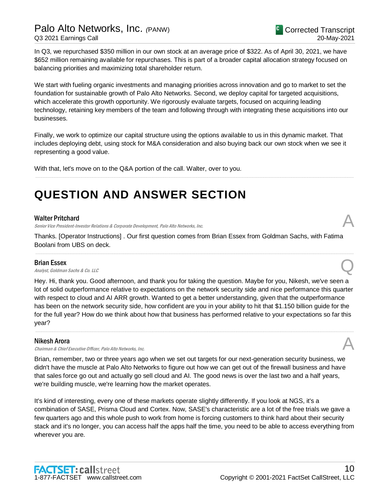In Q3, we repurchased \$350 million in our own stock at an average price of \$322. As of April 30, 2021, we have \$652 million remaining available for repurchases. This is part of a broader capital allocation strategy focused on balancing priorities and maximizing total shareholder return.

We start with fueling organic investments and managing priorities across innovation and go to market to set the foundation for sustainable growth of Palo Alto Networks. Second, we deploy capital for targeted acquisitions, which accelerate this growth opportunity. We rigorously evaluate targets, focused on acquiring leading technology, retaining key members of the team and following through with integrating these acquisitions into our businesses.

Finally, we work to optimize our capital structure using the options available to us in this dynamic market. That includes deploying debt, using stock for M&A consideration and also buying back our own stock when we see it representing a good value.

.....................................................................................................................................................................................................................................................................

With that, let's move on to the Q&A portion of the call. Walter, over to you.

## **QUESTION AND ANSWER SECTION**

#### Walter Pritchard

Senior Vice President-Investor Relations & Corporate Development, Palo Alto Networks, Inc.

Thanks. [Operator Instructions] . Our first question comes from Brian Essex from Goldman Sachs, with Fatima Boolani from UBS on deck.

.....................................................................................................................................................................................................................................................................

#### Brian Essex

**Brian Essex**<br>Analyst, Goldman Sachs & Co. LLC

Hey. Hi, thank you. Good afternoon, and thank you for taking the question. Maybe for you, Nikesh, we've seen a lot of solid outperformance relative to expectations on the network security side and nice performance this quarter with respect to cloud and AI ARR growth. Wanted to get a better understanding, given that the outperformance has been on the network security side, how confident are you in your ability to hit that \$1.150 billion guide for the for the full year? How do we think about how that business has performed relative to your expectations so far this year?

.....................................................................................................................................................................................................................................................................

#### Nikesh Arora

Chairman & Chief Executive Officer, Palo Alto Networks, Inc.

Brian, remember, two or three years ago when we set out targets for our next-generation security business, we didn't have the muscle at Palo Alto Networks to figure out how we can get out of the firewall business and have that sales force go out and actually go sell cloud and AI. The good news is over the last two and a half years, we're building muscle, we're learning how the market operates.

It's kind of interesting, every one of these markets operate slightly differently. If you look at NGS, it's a combination of SASE, Prisma Cloud and Cortex. Now, SASE's characteristic are a lot of the free trials we gave a few quarters ago and this whole push to work from home is forcing customers to think hard about their security stack and it's no longer, you can access half the apps half the time, you need to be able to access everything from wherever you are.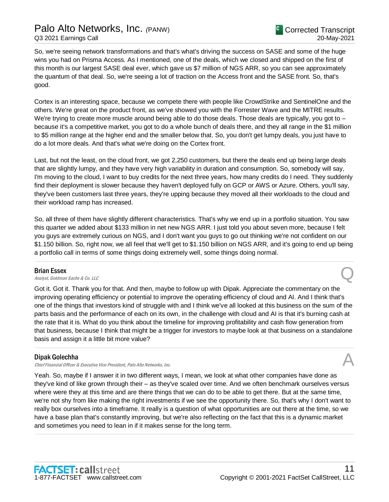So, we're seeing network transformations and that's what's driving the success on SASE and some of the huge wins you had on Prisma Access. As I mentioned, one of the deals, which we closed and shipped on the first of this month is our largest SASE deal ever, which gave us \$7 million of NGS ARR, so you can see approximately the quantum of that deal. So, we're seeing a lot of traction on the Access front and the SASE front. So, that's good.

Cortex is an interesting space, because we compete there with people like CrowdStrike and SentinelOne and the others. We're great on the product front, as we've showed you with the Forrester Wave and the MITRE results. We're trying to create more muscle around being able to do those deals. Those deals are typically, you got to – because it's a competitive market, you got to do a whole bunch of deals there, and they all range in the \$1 million to \$5 million range at the higher end and the smaller below that. So, you don't get lumpy deals, you just have to do a lot more deals. And that's what we're doing on the Cortex front.

Last, but not the least, on the cloud front, we got 2,250 customers, but there the deals end up being large deals that are slightly lumpy, and they have very high variability in duration and consumption. So, somebody will say, I'm moving to the cloud, I want to buy credits for the next three years, how many credits do I need. They suddenly find their deployment is slower because they haven't deployed fully on GCP or AWS or Azure. Others, you'll say, they've been customers last three years, they're upping because they moved all their workloads to the cloud and their workload ramp has increased.

So, all three of them have slightly different characteristics. That's why we end up in a portfolio situation. You saw this quarter we added about \$133 million in net new NGS ARR. I just told you about seven more, because I felt you guys are extremely curious on NGS, and I don't want you guys to go out thinking we're not confident on our \$1.150 billion. So, right now, we all feel that we'll get to \$1.150 billion on NGS ARR, and it's going to end up being a portfolio call in terms of some things doing extremely well, some things doing normal.

.....................................................................................................................................................................................................................................................................

#### Brian Essex

**Brian Essex**<br>Analyst, Goldman Sachs & Co. LLC

Got it. Got it. Thank you for that. And then, maybe to follow up with Dipak. Appreciate the commentary on the improving operating efficiency or potential to improve the operating efficiency of cloud and AI. And I think that's one of the things that investors kind of struggle with and I think we've all looked at this business on the sum of the parts basis and the performance of each on its own, in the challenge with cloud and AI is that it's burning cash at the rate that it is. What do you think about the timeline for improving profitability and cash flow generation from that business, because I think that might be a trigger for investors to maybe look at that business on a standalone basis and assign it a little bit more value?

.....................................................................................................................................................................................................................................................................

#### Dipak Golechha

Chief Financial Officer & Executive Vice President, Palo Alto Networks, Inc.

Yeah. So, maybe if I answer it in two different ways, I mean, we look at what other companies have done as they've kind of like grown through their – as they've scaled over time. And we often benchmark ourselves versus where were they at this time and are there things that we can do to be able to get there. But at the same time, we're not shy from like making the right investments if we see the opportunity there. So, that's why I don't want to really box ourselves into a timeframe. It really is a question of what opportunities are out there at the time, so we have a base plan that's constantly improving, but we're also reflecting on the fact that this is a dynamic market and sometimes you need to lean in if it makes sense for the long term.

.....................................................................................................................................................................................................................................................................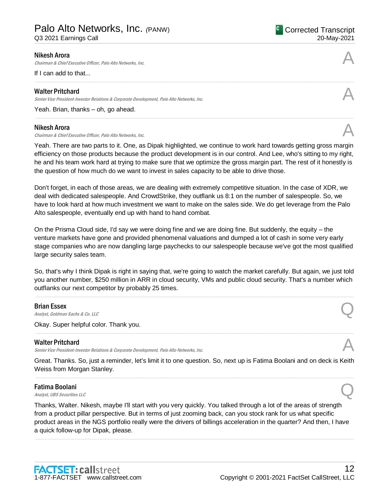## Palo Alto Networks, Inc. *(*PANW)

Q3 2021 Earnings Call

#### <sup>C</sup> Corrected Transcript 20-May-2021

#### Nikesh Arora

Chairman & Chief Executive Officer, Palo Alto Networks, Inc.

If I can add to that...

#### Walter Pritchard

Senior Vice President-Investor Relations & Corporate Development, Palo Alto Networks, Inc.

Yeah. Brian, thanks – oh, go ahead.

#### Nikesh Arora

Chairman & Chief Executive Officer, Palo Alto Networks, Inc.

Yeah. There are two parts to it. One, as Dipak highlighted, we continue to work hard towards getting gross margin efficiency on those products because the product development is in our control. And Lee, who's sitting to my right, he and his team work hard at trying to make sure that we optimize the gross margin part. The rest of it honestly is the question of how much do we want to invest in sales capacity to be able to drive those.

Don't forget, in each of those areas, we are dealing with extremely competitive situation. In the case of XDR, we deal with dedicated salespeople. And CrowdStrike, they outflank us 8:1 on the number of salespeople. So, we have to look hard at how much investment we want to make on the sales side. We do get leverage from the Palo Alto salespeople, eventually end up with hand to hand combat.

On the Prisma Cloud side, I'd say we were doing fine and we are doing fine. But suddenly, the equity – the venture markets have gone and provided phenomenal valuations and dumped a lot of cash in some very early stage companies who are now dangling large paychecks to our salespeople because we've got the most qualified large security sales team.

So, that's why I think Dipak is right in saying that, we're going to watch the market carefully. But again, we just told you another number, \$250 million in ARR in cloud security, VMs and public cloud security. That's a number which outflanks our next competitor by probably 25 times.

.....................................................................................................................................................................................................................................................................

#### Brian Essex

**Brian Essex**<br>Analyst, Goldman Sachs & Co. LLC

Okay. Super helpful color. Thank you.

#### Walter Pritchard

Senior Vice President-Investor Relations & Corporate Development, Palo Alto Networks, Inc.

Great. Thanks. So, just a reminder, let's limit it to one question. So, next up is Fatima Boolani and on deck is Keith Weiss from Morgan Stanley. .....................................................................................................................................................................................................................................................................

#### Fatima Boolani

**Fatima Boolani**<br>Analyst, UBS Securities LLC

Thanks, Walter. Nikesh, maybe I'll start with you very quickly. You talked through a lot of the areas of strength from a product pillar perspective. But in terms of just zooming back, can you stock rank for us what specific product areas in the NGS portfolio really were the drivers of billings acceleration in the quarter? And then, I have a quick follow-up for Dipak, please.

.....................................................................................................................................................................................................................................................................







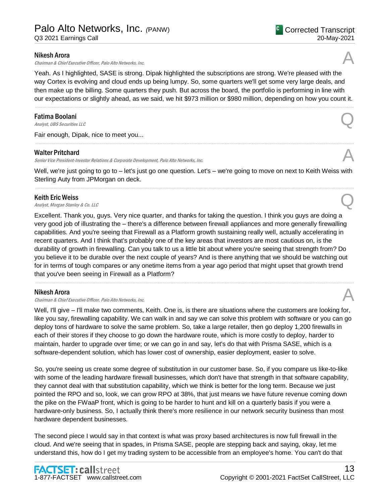Chairman & Chief Executive Officer, Palo Alto Networks, Inc.

Yeah. As I highlighted, SASE is strong. Dipak highlighted the subscriptions are strong. We're pleased with the way Cortex is evolving and cloud ends up being lumpy. So, some quarters we'll get some very large deals, and then make up the billing. Some quarters they push. But across the board, the portfolio is performing in line with our expectations or slightly ahead, as we said, we hit \$973 million or \$980 million, depending on how you count it.

.....................................................................................................................................................................................................................................................................

#### Fatima Boolani

**Fatima Boolani**<br>Analyst, UBS Securities LLC

Fair enough, Dipak, nice to meet you...

#### Walter Pritchard

Senior Vice President-Investor Relations & Corporate Development, Palo Alto Networks, Inc.

Well, we're just going to go to – let's just go one question. Let's – we're going to move on next to Keith Weiss with Sterling Auty from JPMorgan on deck. .....................................................................................................................................................................................................................................................................

.....................................................................................................................................................................................................................................................................

#### Keith Eric Weiss

**Keith Eric Weiss**<br>Analyst, Morgan Stanley & Co. LLC Quarter of Analyst, Morgan Stanley & Co. LLC

Excellent. Thank you, guys. Very nice quarter, and thanks for taking the question. I think you guys are doing a very good job of illustrating the – there's a difference between firewall appliances and more generally firewalling capabilities. And you're seeing that Firewall as a Platform growth sustaining really well, actually accelerating in recent quarters. And I think that's probably one of the key areas that investors are most cautious on, is the durability of growth in firewalling. Can you talk to us a little bit about where you're seeing that strength from? Do you believe it to be durable over the next couple of years? And is there anything that we should be watching out for in terms of tough compares or any onetime items from a year ago period that might upset that growth trend that you've been seeing in Firewall as a Platform?

.....................................................................................................................................................................................................................................................................

#### Nikesh Arora

Chairman & Chief Executive Officer, Palo Alto Networks, Inc.

Well, I'll give – I'll make two comments, Keith. One is, is there are situations where the customers are looking for, like you say, firewalling capability. We can walk in and say we can solve this problem with software or you can go deploy tons of hardware to solve the same problem. So, take a large retailer, then go deploy 1,200 firewalls in each of their stores if they choose to go down the hardware route, which is more costly to deploy, harder to maintain, harder to upgrade over time; or we can go in and say, let's do that with Prisma SASE, which is a software-dependent solution, which has lower cost of ownership, easier deployment, easier to solve.

So, you're seeing us create some degree of substitution in our customer base. So, if you compare us like-to-like with some of the leading hardware firewall businesses, which don't have that strength in that software capability, they cannot deal with that substitution capability, which we think is better for the long term. Because we just pointed the RPO and so, look, we can grow RPO at 38%, that just means we have future revenue coming down the pike on the FWaaP front, which is going to be harder to hunt and kill on a quarterly basis if you were a hardware-only business. So, I actually think there's more resilience in our network security business than most hardware dependent businesses.

The second piece I would say in that context is what was proxy based architectures is now full firewall in the cloud. And we're seeing that in spades, in Prisma SASE, people are stepping back and saying, okay, let me understand this, how do I get my trading system to be accessible from an employee's home. You can't do that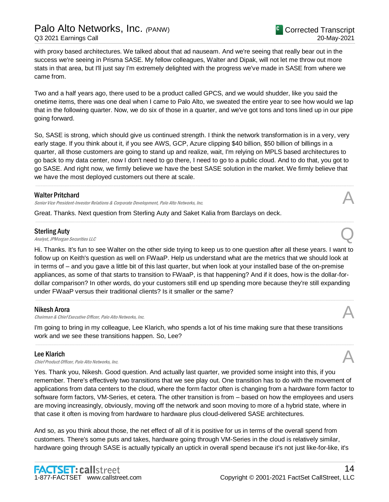with proxy based architectures. We talked about that ad nauseam. And we're seeing that really bear out in the success we're seeing in Prisma SASE. My fellow colleagues, Walter and Dipak, will not let me throw out more stats in that area, but I'll just say I'm extremely delighted with the progress we've made in SASE from where we came from.

Two and a half years ago, there used to be a product called GPCS, and we would shudder, like you said the onetime items, there was one deal when I came to Palo Alto, we sweated the entire year to see how would we lap that in the following quarter. Now, we do six of those in a quarter, and we've got tons and tons lined up in our pipe going forward.

So, SASE is strong, which should give us continued strength. I think the network transformation is in a very, very early stage. If you think about it, if you see AWS, GCP, Azure clipping \$40 billion, \$50 billion of billings in a quarter, all those customers are going to stand up and realize, wait, I'm relying on MPLS based architectures to go back to my data center, now I don't need to go there, I need to go to a public cloud. And to do that, you got to go SASE. And right now, we firmly believe we have the best SASE solution in the market. We firmly believe that we have the most deployed customers out there at scale.

.....................................................................................................................................................................................................................................................................

.....................................................................................................................................................................................................................................................................

#### Walter Pritchard

Senior Vice President-Investor Relations & Corporate Development, Palo Alto Networks, Inc.

Great. Thanks. Next question from Sterling Auty and Saket Kalia from Barclays on deck.

#### Sterling Auty

Sterling Auty<br>
Analyst, JPMorgan Securities LLC

Hi. Thanks. It's fun to see Walter on the other side trying to keep us to one question after all these years. I want to follow up on Keith's question as well on FWaaP. Help us understand what are the metrics that we should look at in terms of – and you gave a little bit of this last quarter, but when look at your installed base of the on-premise appliances, as some of that starts to transition to FWaaP, is that happening? And if it does, how is the dollar-fordollar comparison? In other words, do your customers still end up spending more because they're still expanding under FWaaP versus their traditional clients? Is it smaller or the same?

.....................................................................................................................................................................................................................................................................

#### Nikesh Arora

Chairman & Chief Executive Officer, Palo Alto Networks, Inc. A

I'm going to bring in my colleague, Lee Klarich, who spends a lot of his time making sure that these transitions work and we see these transitions happen. So, Lee?

.....................................................................................................................................................................................................................................................................

### Lee Klarich

**Lee Klarich**<br>Chief Product Officer, Palo Alto Networks, Inc.  $\mathcal{A}$ 

Yes. Thank you, Nikesh. Good question. And actually last quarter, we provided some insight into this, if you remember. There's effectively two transitions that we see play out. One transition has to do with the movement of applications from data centers to the cloud, where the form factor often is changing from a hardware form factor to software form factors, VM-Series, et cetera. The other transition is from – based on how the employees and users are moving increasingly, obviously, moving off the network and soon moving to more of a hybrid state, where in that case it often is moving from hardware to hardware plus cloud-delivered SASE architectures.

And so, as you think about those, the net effect of all of it is positive for us in terms of the overall spend from customers. There's some puts and takes, hardware going through VM-Series in the cloud is relatively similar, hardware going through SASE is actually typically an uptick in overall spend because it's not just like-for-like, it's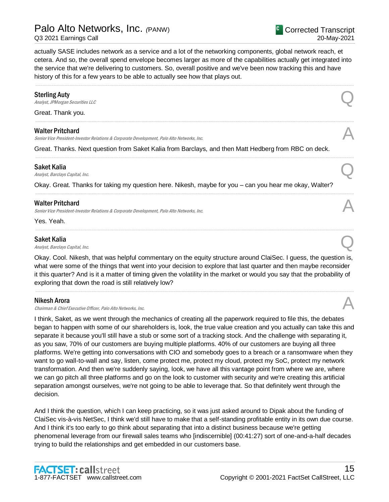actually SASE includes network as a service and a lot of the networking components, global network reach, et cetera. And so, the overall spend envelope becomes larger as more of the capabilities actually get integrated into the service that we're delivering to customers. So, overall positive and we've been now tracking this and have history of this for a few years to be able to actually see how that plays out.

.....................................................................................................................................................................................................................................................................

.....................................................................................................................................................................................................................................................................

.....................................................................................................................................................................................................................................................................

.....................................................................................................................................................................................................................................................................

.....................................................................................................................................................................................................................................................................

#### Sterling Auty

Sterling Auty<br>
Analyst, JPMorgan Securities LLC

Great. Thank you.

#### Walter Pritchard

Senior Vice President-Investor Relations & Corporate Development, Palo Alto Networks, Inc.

Great. Thanks. Next question from Saket Kalia from Barclays, and then Matt Hedberg from RBC on deck.

#### Saket Kalia

Saket Kalia  $A_{nab}$ st, Barclays Capital, Inc.  $Q$ 

Okay. Great. Thanks for taking my question here. Nikesh, maybe for you – can you hear me okay, Walter?

#### Walter Pritchard

Senior Vice President-Investor Relations & Corporate Development, Palo Alto Networks, Inc.

Yes. Yeah.

#### Saket Kalia

Saket Kalia  $A_{nab}$ st, Barclays Capital, Inc.  $Q$ 

Okay. Cool. Nikesh, that was helpful commentary on the equity structure around ClaiSec. I guess, the question is, what were some of the things that went into your decision to explore that last quarter and then maybe reconsider it this quarter? And is it a matter of timing given the volatility in the market or would you say that the probability of exploring that down the road is still relatively low?

.....................................................................................................................................................................................................................................................................

#### Nikesh Arora

**Nikesh Arora**<br>Chairman & Chief Executive Officer, Palo Alto Networks, Inc.  $\mathcal{A}$ 

I think, Saket, as we went through the mechanics of creating all the paperwork required to file this, the debates began to happen with some of our shareholders is, look, the true value creation and you actually can take this and separate it because you'll still have a stub or some sort of a tracking stock. And the challenge with separating it, as you saw, 70% of our customers are buying multiple platforms. 40% of our customers are buying all three platforms. We're getting into conversations with CIO and somebody goes to a breach or a ransomware when they want to go wall-to-wall and say, listen, come protect me, protect my cloud, protect my SoC, protect my network transformation. And then we're suddenly saying, look, we have all this vantage point from where we are, where we can go pitch all three platforms and go on the look to customer with security and we're creating this artificial separation amongst ourselves, we're not going to be able to leverage that. So that definitely went through the decision.

And I think the question, which I can keep practicing, so it was just asked around to Dipak about the funding of ClaiSec vis-à-vis NetSec, I think we'd still have to make that a self-standing profitable entity in its own due course. And I think it's too early to go think about separating that into a distinct business because we're getting phenomenal leverage from our firewall sales teams who [indiscernible] (00:41:27) sort of one-and-a-half decades trying to build the relationships and get embedded in our customers base.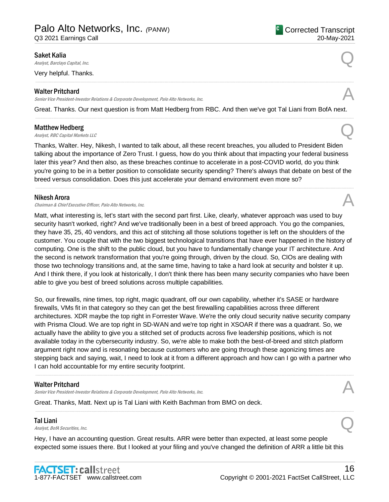Q3 2021 Earnings Call

#### <sup>C</sup> Corrected Transcript 20-May-2021

#### Saket Kalia

Saket Kalia  $A_{nab}$ st, Barclays Capital, Inc.  $Q$ 

Very helpful. Thanks.

#### Walter Pritchard

Senior Vice President-Investor Relations & Corporate Development, Palo Alto Networks, Inc.

Great. Thanks. Our next question is from Matt Hedberg from RBC. And then we've got Tal Liani from BofA next. .....................................................................................................................................................................................................................................................................

.....................................................................................................................................................................................................................................................................

#### Matthew Hedberg

**Matthew Hedberg**<br>Analyst, RBC Capital Markets LLC

Thanks, Walter. Hey, Nikesh, I wanted to talk about, all these recent breaches, you alluded to President Biden talking about the importance of Zero Trust. I guess, how do you think about that impacting your federal business later this year? And then also, as these breaches continue to accelerate in a post-COVID world, do you think you're going to be in a better position to consolidate security spending? There's always that debate on best of the breed versus consolidation. Does this just accelerate your demand environment even more so?

.....................................................................................................................................................................................................................................................................

#### Nikesh Arora

Chairman & Chief Executive Officer, Palo Alto Networks, Inc.

Matt, what interesting is, let's start with the second part first. Like, clearly, whatever approach was used to buy security hasn't worked, right? And we've traditionally been in a best of breed approach. You go the companies, they have 35, 25, 40 vendors, and this act of stitching all those solutions together is left on the shoulders of the customer. You couple that with the two biggest technological transitions that have ever happened in the history of computing. One is the shift to the public cloud, but you have to fundamentally change your IT architecture. And the second is network transformation that you're going through, driven by the cloud. So, CIOs are dealing with those two technology transitions and, at the same time, having to take a hard look at security and bolster it up. And I think there, if you look at historically, I don't think there has been many security companies who have been able to give you best of breed solutions across multiple capabilities.

So, our firewalls, nine times, top right, magic quadrant, off our own capability, whether it's SASE or hardware firewalls, VMs fit in that category so they can get the best firewalling capabilities across three different architectures. XDR maybe the top right in Forrester Wave. We're the only cloud security native security company with Prisma Cloud. We are top right in SD-WAN and we're top right in XSOAR if there was a quadrant. So, we actually have the ability to give you a stitched set of products across five leadership positions, which is not available today in the cybersecurity industry. So, we're able to make both the best-of-breed and stitch platform argument right now and is resonating because customers who are going through these agonizing times are stepping back and saying, wait, I need to look at it from a different approach and how can I go with a partner who I can hold accountable for my entire security footprint.

.....................................................................................................................................................................................................................................................................

.....................................................................................................................................................................................................................................................................

#### Walter Pritchard

Senior Vice President-Investor Relations & Corporate Development, Palo Alto Networks, Inc.

Great. Thanks, Matt. Next up is Tal Liani with Keith Bachman from BMO on deck.

#### Tal Liani

**Tal Liani**<br>Analyst, BofA Securities, Inc.  $Q$ 

Hey, I have an accounting question. Great results. ARR were better than expected, at least some people expected some issues there. But I looked at your filing and you've changed the definition of ARR a little bit this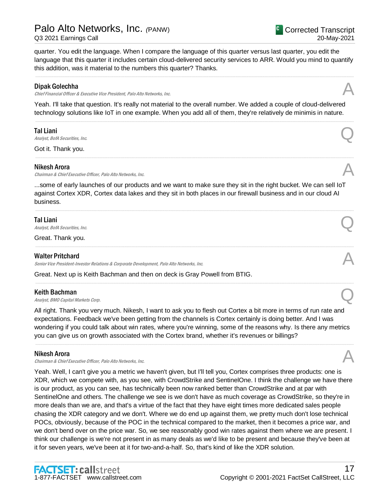## Palo Alto Networks, Inc. *(*PANW)

Q3 2021 Earnings Call

quarter. You edit the language. When I compare the language of this quarter versus last quarter, you edit the language that this quarter it includes certain cloud-delivered security services to ARR. Would you mind to quantify this addition, was it material to the numbers this quarter? Thanks.

.....................................................................................................................................................................................................................................................................

#### Dipak Golechha

Chief Financial Officer & Executive Vice President, Palo Alto Networks, Inc.

Yeah. I'll take that question. It's really not material to the overall number. We added a couple of cloud-delivered technology solutions like IoT in one example. When you add all of them, they're relatively de minimis in nature.

.....................................................................................................................................................................................................................................................................

.....................................................................................................................................................................................................................................................................

### Tal Liani

**Tal Liani**<br>Analyst, BofA Securities, Inc.  $Q$ 

Got it. Thank you.

#### Nikesh Arora

Chairman & Chief Executive Officer, Palo Alto Networks, Inc.

...some of early launches of our products and we want to make sure they sit in the right bucket. We can sell IoT against Cortex XDR, Cortex data lakes and they sit in both places in our firewall business and in our cloud AI business.

.....................................................................................................................................................................................................................................................................

.....................................................................................................................................................................................................................................................................

.....................................................................................................................................................................................................................................................................

#### Tal Liani

**Tal Liani**<br>Analyst, BofA Securities, Inc.  $Q$ 

Great. Thank you.

### Walter Pritchard

Senior Vice President-Investor Relations & Corporate Development, Palo Alto Networks, Inc.

Great. Next up is Keith Bachman and then on deck is Gray Powell from BTIG.

#### Keith Bachman

**Keith Bachman**<br>Analyst, BMO Capital Markets Corp.  $Q$ 

All right. Thank you very much. Nikesh, I want to ask you to flesh out Cortex a bit more in terms of run rate and expectations. Feedback we've been getting from the channels is Cortex certainly is doing better. And I was wondering if you could talk about win rates, where you're winning, some of the reasons why. Is there any metrics you can give us on growth associated with the Cortex brand, whether it's revenues or billings?

.....................................................................................................................................................................................................................................................................

#### Nikesh Arora

Chairman & Chief Executive Officer, Palo Alto Networks, Inc.

Yeah. Well, I can't give you a metric we haven't given, but I'll tell you, Cortex comprises three products: one is XDR, which we compete with, as you see, with CrowdStrike and SentinelOne. I think the challenge we have there is our product, as you can see, has technically been now ranked better than CrowdStrike and at par with SentinelOne and others. The challenge we see is we don't have as much coverage as CrowdStrike, so they're in more deals than we are, and that's a virtue of the fact that they have eight times more dedicated sales people chasing the XDR category and we don't. Where we do end up against them, we pretty much don't lose technical POCs, obviously, because of the POC in the technical compared to the market, then it becomes a price war, and we don't bend over on the price war. So, we see reasonably good win rates against them where we are present. I think our challenge is we're not present in as many deals as we'd like to be present and because they've been at it for seven years, we've been at it for two-and-a-half. So, that's kind of like the XDR solution.

<sup>C</sup> Corrected Transcript

20-May-2021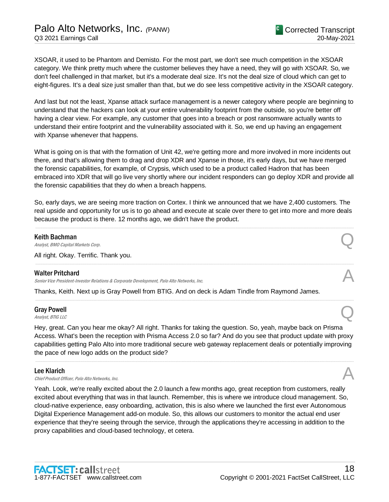XSOAR, it used to be Phantom and Demisto. For the most part, we don't see much competition in the XSOAR category. We think pretty much where the customer believes they have a need, they will go with XSOAR. So, we don't feel challenged in that market, but it's a moderate deal size. It's not the deal size of cloud which can get to eight-figures. It's a deal size just smaller than that, but we do see less competitive activity in the XSOAR category.

And last but not the least, Xpanse attack surface management is a newer category where people are beginning to understand that the hackers can look at your entire vulnerability footprint from the outside, so you're better off having a clear view. For example, any customer that goes into a breach or post ransomware actually wants to understand their entire footprint and the vulnerability associated with it. So, we end up having an engagement with Xpanse whenever that happens.

What is going on is that with the formation of Unit 42, we're getting more and more involved in more incidents out there, and that's allowing them to drag and drop XDR and Xpanse in those, it's early days, but we have merged the forensic capabilities, for example, of Crypsis, which used to be a product called Hadron that has been embraced into XDR that will go live very shortly where our incident responders can go deploy XDR and provide all the forensic capabilities that they do when a breach happens.

So, early days, we are seeing more traction on Cortex. I think we announced that we have 2,400 customers. The real upside and opportunity for us is to go ahead and execute at scale over there to get into more and more deals because the product is there. 12 months ago, we didn't have the product.

.....................................................................................................................................................................................................................................................................

.....................................................................................................................................................................................................................................................................

.....................................................................................................................................................................................................................................................................

#### Keith Bachman

**Keith Bachman**<br>Analyst, BMO Capital Markets Corp.  $Q$ 

All right. Okay. Terrific. Thank you.

#### Walter Pritchard

Senior Vice President-Investor Relations & Corporate Development, Palo Alto Networks, Inc.

Thanks, Keith. Next up is Gray Powell from BTIG. And on deck is Adam Tindle from Raymond James.

## Gray Powell Gray Powell  $\bigotimes$ <br>Analyst, BTIG LLC

Hey, great. Can you hear me okay? All right. Thanks for taking the question. So, yeah, maybe back on Prisma Access. What's been the reception with Prisma Access 2.0 so far? And do you see that product update with proxy capabilities getting Palo Alto into more traditional secure web gateway replacement deals or potentially improving the pace of new logo adds on the product side?

.....................................................................................................................................................................................................................................................................

#### Lee Klarich

**Lee Klarich**<br>Chief Product Officer, Palo Alto Networks, Inc.  $\mathcal{A}$ 

Yeah. Look, we're really excited about the 2.0 launch a few months ago, great reception from customers, really excited about everything that was in that launch. Remember, this is where we introduce cloud management. So, cloud-native experience, easy onboarding, activation, this is also where we launched the first ever Autonomous Digital Experience Management add-on module. So, this allows our customers to monitor the actual end user experience that they're seeing through the service, through the applications they're accessing in addition to the proxy capabilities and cloud-based technology, et cetera.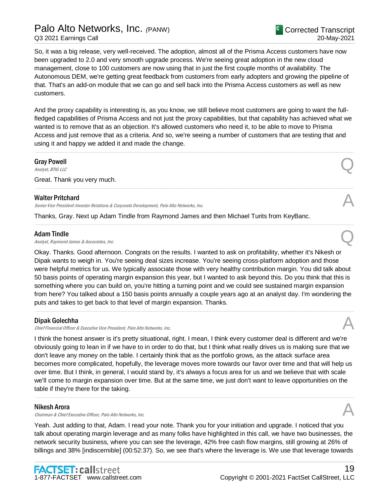## Palo Alto Networks, Inc. *(*PANW) Q3 2021 Earnings Call

So, it was a big release, very well-received. The adoption, almost all of the Prisma Access customers have now been upgraded to 2.0 and very smooth upgrade process. We're seeing great adoption in the new cloud management, close to 100 customers are now using that in just the first couple months of availability. The Autonomous DEM, we're getting great feedback from customers from early adopters and growing the pipeline of that. That's an add-on module that we can go and sell back into the Prisma Access customers as well as new customers.

And the proxy capability is interesting is, as you know, we still believe most customers are going to want the fullfledged capabilities of Prisma Access and not just the proxy capabilities, but that capability has achieved what we wanted is to remove that as an objection. It's allowed customers who need it, to be able to move to Prisma Access and just remove that as a criteria. And so, we're seeing a number of customers that are testing that and using it and happy we added it and made the change.

.....................................................................................................................................................................................................................................................................

.....................................................................................................................................................................................................................................................................

.....................................................................................................................................................................................................................................................................

## Gray Powell Gray Powell  $\bigotimes$ <br>Analyst, BTIG LLC

Great. Thank you very much.

#### Walter Pritchard

Senior Vice President-Investor Relations & Corporate Development, Palo Alto Networks, Inc.

Thanks, Gray. Next up Adam Tindle from Raymond James and then Michael Turits from KeyBanc.

#### Adam Tindle

Adam Tindle<br>Analyst, Raymond James & Associates, Inc.  $\bigotimes$ 

Okay. Thanks. Good afternoon. Congrats on the results. I wanted to ask on profitability, whether it's Nikesh or Dipak wants to weigh in. You're seeing deal sizes increase. You're seeing cross-platform adoption and those were helpful metrics for us. We typically associate those with very healthy contribution margin. You did talk about 50 basis points of operating margin expansion this year, but I wanted to ask beyond this. Do you think that this is something where you can build on, you're hitting a turning point and we could see sustained margin expansion from here? You talked about a 150 basis points annually a couple years ago at an analyst day. I'm wondering the puts and takes to get back to that level of margin expansion. Thanks.

.....................................................................................................................................................................................................................................................................

#### Dipak Golechha

Chief Financial Officer & Executive Vice President, Palo Alto Networks, Inc.

I think the honest answer is it's pretty situational, right. I mean, I think every customer deal is different and we're obviously going to lean in if we have to in order to do that, but I think what really drives us is making sure that we don't leave any money on the table. I certainly think that as the portfolio grows, as the attack surface area becomes more complicated, hopefully, the leverage moves more towards our favor over time and that will help us over time. But I think, in general, I would stand by, it's always a focus area for us and we believe that with scale we'll come to margin expansion over time. But at the same time, we just don't want to leave opportunities on the table if they're there for the taking.

.....................................................................................................................................................................................................................................................................

#### Nikesh Arora

Chairman & Chief Executive Officer, Palo Alto Networks, Inc.

Yeah. Just adding to that, Adam. I read your note. Thank you for your initiation and upgrade. I noticed that you talk about operating margin leverage and as many folks have highlighted in this call, we have two businesses, the network security business, where you can see the leverage, 42% free cash flow margins, still growing at 26% of billings and 38% [indiscernible] (00:52:37). So, we see that's where the leverage is. We use that leverage towards

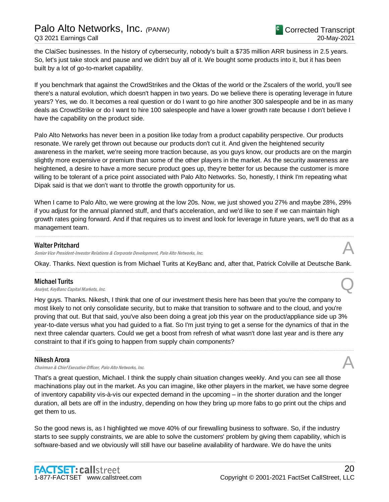the ClaiSec businesses. In the history of cybersecurity, nobody's built a \$735 million ARR business in 2.5 years. So, let's just take stock and pause and we didn't buy all of it. We bought some products into it, but it has been built by a lot of go-to-market capability.

If you benchmark that against the CrowdStrikes and the Oktas of the world or the Zscalers of the world, you'll see there's a natural evolution, which doesn't happen in two years. Do we believe there is operating leverage in future years? Yes, we do. It becomes a real question or do I want to go hire another 300 salespeople and be in as many deals as CrowdStrike or do I want to hire 100 salespeople and have a lower growth rate because I don't believe I have the capability on the product side.

Palo Alto Networks has never been in a position like today from a product capability perspective. Our products resonate. We rarely get thrown out because our products don't cut it. And given the heightened security awareness in the market, we're seeing more traction because, as you guys know, our products are on the margin slightly more expensive or premium than some of the other players in the market. As the security awareness are heightened, a desire to have a more secure product goes up, they're better for us because the customer is more willing to be tolerant of a price point associated with Palo Alto Networks. So, honestly, I think I'm repeating what Dipak said is that we don't want to throttle the growth opportunity for us.

When I came to Palo Alto, we were growing at the low 20s. Now, we just showed you 27% and maybe 28%, 29% if you adjust for the annual planned stuff, and that's acceleration, and we'd like to see if we can maintain high growth rates going forward. And if that requires us to invest and look for leverage in future years, we'll do that as a management team.

.....................................................................................................................................................................................................................................................................

#### Walter Pritchard

Senior Vice President-Investor Relations & Corporate Development, Palo Alto Networks, Inc.

Okay. Thanks. Next question is from Michael Turits at KeyBanc and, after that, Patrick Colville at Deutsche Bank. .....................................................................................................................................................................................................................................................................

#### Michael Turits

**Michael Turits**<br>Analyst, KeyBanc Capital Markets, Inc.  $Q$ 

Hey guys. Thanks. Nikesh, I think that one of our investment thesis here has been that you're the company to most likely to not only consolidate security, but to make that transition to software and to the cloud, and you're proving that out. But that said, you've also been doing a great job this year on the product/appliance side up 3% year-to-date versus what you had guided to a flat. So I'm just trying to get a sense for the dynamics of that in the next three calendar quarters. Could we get a boost from refresh of what wasn't done last year and is there any constraint to that if it's going to happen from supply chain components?

.....................................................................................................................................................................................................................................................................

#### Nikesh Arora

Chairman & Chief Executive Officer, Palo Alto Networks, Inc.

That's a great question, Michael. I think the supply chain situation changes weekly. And you can see all those machinations play out in the market. As you can imagine, like other players in the market, we have some degree of inventory capability vis-à-vis our expected demand in the upcoming – in the shorter duration and the longer duration, all bets are off in the industry, depending on how they bring up more fabs to go print out the chips and get them to us.

So the good news is, as I highlighted we move 40% of our firewalling business to software. So, if the industry starts to see supply constraints, we are able to solve the customers' problem by giving them capability, which is software-based and we obviously will still have our baseline availability of hardware. We do have the units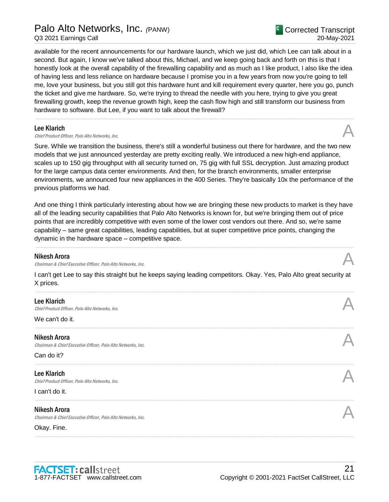## Palo Alto Networks, Inc. *(*PANW)

Q3 2021 Earnings Call

available for the recent announcements for our hardware launch, which we just did, which Lee can talk about in a second. But again, I know we've talked about this, Michael, and we keep going back and forth on this is that I honestly look at the overall capability of the firewalling capability and as much as I like product, I also like the idea of having less and less reliance on hardware because I promise you in a few years from now you're going to tell me, love your business, but you still got this hardware hunt and kill requirement every quarter, here you go, punch the ticket and give me hardware. So, we're trying to thread the needle with you here, trying to give you great firewalling growth, keep the revenue growth high, keep the cash flow high and still transform our business from hardware to software. But Lee, if you want to talk about the firewall?

.....................................................................................................................................................................................................................................................................

#### Lee Klarich

**Lee Klarich**<br>Chief Product Officer, Palo Alto Networks, Inc.

Sure. While we transition the business, there's still a wonderful business out there for hardware, and the two new models that we just announced yesterday are pretty exciting really. We introduced a new high-end appliance, scales up to 150 gig throughput with all security turned on, 75 gig with full SSL decryption. Just amazing product for the large campus data center environments. And then, for the branch environments, smaller enterprise environments, we announced four new appliances in the 400 Series. They're basically 10x the performance of the previous platforms we had.

And one thing I think particularly interesting about how we are bringing these new products to market is they have all of the leading security capabilities that Palo Alto Networks is known for, but we're bringing them out of price points that are incredibly competitive with even some of the lower cost vendors out there. And so, we're same capability – same great capabilities, leading capabilities, but at super competitive price points, changing the dynamic in the hardware space – competitive space.

.....................................................................................................................................................................................................................................................................

#### Nikesh Arora

Chairman & Chief Executive Officer, Palo Alto Networks, Inc.

I can't get Lee to say this straight but he keeps saying leading competitors. Okay. Yes, Palo Alto great security at X prices.

| <b>Lee Klarich</b><br>Chief Product Officer, Palo Alto Networks, Inc.        |  |
|------------------------------------------------------------------------------|--|
| We can't do it.                                                              |  |
| Nikesh Arora<br>Chairman & Chief Executive Officer, Palo Alto Networks, Inc. |  |
| Can do it?                                                                   |  |
| <b>Lee Klarich</b><br>Chief Product Officer, Palo Alto Networks, Inc.        |  |
| I can't do it.                                                               |  |
| Nikesh Arora<br>Chairman & Chief Executive Officer, Palo Alto Networks, Inc. |  |
| Okay. Fine.                                                                  |  |
|                                                                              |  |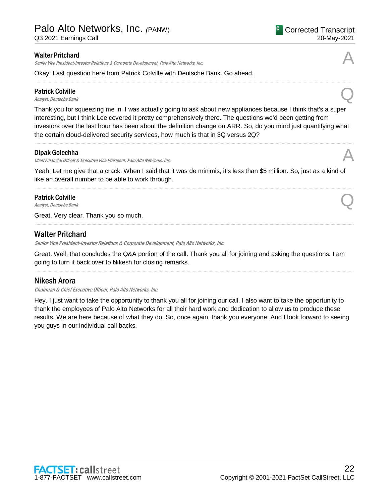Q3 2021 Earnings Call

#### Walter Pritchard

Senior Vice President-Investor Relations & Corporate Development, Palo Alto Networks, Inc.

Okay. Last question here from Patrick Colville with Deutsche Bank. Go ahead.

## Patrick Colville **Patrick Colville**<br>Analyst, Deutsche Bank Question Bank Question Bank Question Bank Question Bank Question Bank Question Bank Question Bank Question Bank Question Bank Question Bank Question Bank Question Bank Question Ba

Thank you for squeezing me in. I was actually going to ask about new appliances because I think that's a super interesting, but I think Lee covered it pretty comprehensively there. The questions we'd been getting from investors over the last hour has been about the definition change on ARR. So, do you mind just quantifying what the certain cloud-delivered security services, how much is that in 3Q versus 2Q?

#### Dipak Golechha

Chief Financial Officer & Executive Vice President, Palo Alto Networks, Inc.

Yeah. Let me give that a crack. When I said that it was de minimis, it's less than \$5 million. So, just as a kind of like an overall number to be able to work through.

## Patrick Colville **Patrick Colville**<br>Analyst, Deutsche Bank  $\bigotimes$

Great. Very clear. Thank you so much.

## Walter Pritchard

Senior Vice President-Investor Relations & Corporate Development, Palo Alto Networks, Inc.

Great. Well, that concludes the Q&A portion of the call. Thank you all for joining and asking the questions. I am going to turn it back over to Nikesh for closing remarks.

.....................................................................................................................................................................................................................................................................

.....................................................................................................................................................................................................................................................................

## Nikesh Arora

Chairman & Chief Executive Officer, Palo Alto Networks, Inc.

Hey. I just want to take the opportunity to thank you all for joining our call. I also want to take the opportunity to thank the employees of Palo Alto Networks for all their hard work and dedication to allow us to produce these results. We are here because of what they do. So, once again, thank you everyone. And I look forward to seeing you guys in our individual call backs.